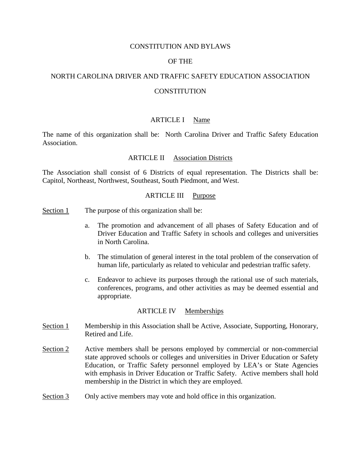## CONSTITUTION AND BYLAWS

### OF THE

### NORTH CAROLINA DRIVER AND TRAFFIC SAFETY EDUCATION ASSOCIATION

## **CONSTITUTION**

## ARTICLE I Name

The name of this organization shall be: North Carolina Driver and Traffic Safety Education Association.

### ARTICLE II Association Districts

The Association shall consist of 6 Districts of equal representation. The Districts shall be: Capitol, Northeast, Northwest, Southeast, South Piedmont, and West.

## ARTICLE III Purpose

- Section 1 The purpose of this organization shall be:
	- a. The promotion and advancement of all phases of Safety Education and of Driver Education and Traffic Safety in schools and colleges and universities in North Carolina.
	- b. The stimulation of general interest in the total problem of the conservation of human life, particularly as related to vehicular and pedestrian traffic safety.
	- c. Endeavor to achieve its purposes through the rational use of such materials, conferences, programs, and other activities as may be deemed essential and appropriate.

#### ARTICLE IV Memberships

- Section 1 Membership in this Association shall be Active, Associate, Supporting, Honorary, Retired and Life.
- Section 2 Active members shall be persons employed by commercial or non-commercial state approved schools or colleges and universities in Driver Education or Safety Education, or Traffic Safety personnel employed by LEA's or State Agencies with emphasis in Driver Education or Traffic Safety. Active members shall hold membership in the District in which they are employed.
- Section 3 Only active members may vote and hold office in this organization.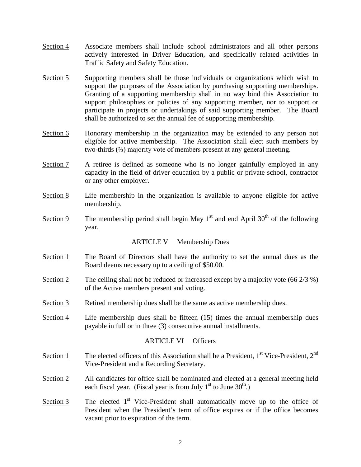- Section 4 Associate members shall include school administrators and all other persons actively interested in Driver Education, and specifically related activities in Traffic Safety and Safety Education.
- Section 5 Supporting members shall be those individuals or organizations which wish to support the purposes of the Association by purchasing supporting memberships. Granting of a supporting membership shall in no way bind this Association to support philosophies or policies of any supporting member, nor to support or participate in projects or undertakings of said supporting member. The Board shall be authorized to set the annual fee of supporting membership.
- Section 6 Honorary membership in the organization may be extended to any person not eligible for active membership. The Association shall elect such members by two-thirds (⅔) majority vote of members present at any general meeting.
- Section 7 A retiree is defined as someone who is no longer gainfully employed in any capacity in the field of driver education by a public or private school, contractor or any other employer.
- Section 8 Life membership in the organization is available to anyone eligible for active membership.
- Section 9 The membership period shall begin May  $1<sup>st</sup>$  and end April 30<sup>th</sup> of the following year.

# ARTICLE V Membership Dues

- Section 1 The Board of Directors shall have the authority to set the annual dues as the Board deems necessary up to a ceiling of \$50.00.
- Section 2 The ceiling shall not be reduced or increased except by a majority vote  $(66\ 2/3\%)$ of the Active members present and voting.
- Section 3 Retired membership dues shall be the same as active membership dues.
- Section 4 Life membership dues shall be fifteen (15) times the annual membership dues payable in full or in three (3) consecutive annual installments.

# ARTICLE VI Officers

- Section 1 The elected officers of this Association shall be a President,  $1<sup>st</sup>$  Vice-President,  $2<sup>nd</sup>$ Vice-President and a Recording Secretary.
- Section 2 All candidates for office shall be nominated and elected at a general meeting held each fiscal year. (Fiscal year is from July  $1<sup>st</sup>$  to June  $30<sup>th</sup>$ .)
- Section  $3$  The elected  $1<sup>st</sup>$  Vice-President shall automatically move up to the office of President when the President's term of office expires or if the office becomes vacant prior to expiration of the term.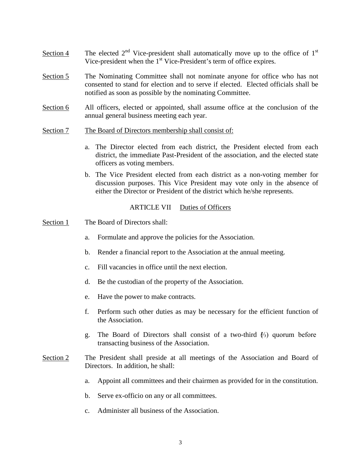- Section 4 The elected  $2<sup>nd</sup>$  Vice-president shall automatically move up to the office of  $1<sup>st</sup>$ Vice-president when the 1<sup>st</sup> Vice-President's term of office expires.
- Section 5 The Nominating Committee shall not nominate anyone for office who has not consented to stand for election and to serve if elected. Elected officials shall be notified as soon as possible by the nominating Committee.
- Section 6 All officers, elected or appointed, shall assume office at the conclusion of the annual general business meeting each year.
- Section 7 The Board of Directors membership shall consist of:
	- a. The Director elected from each district, the President elected from each district, the immediate Past-President of the association, and the elected state officers as voting members.
	- b. The Vice President elected from each district as a non-voting member for discussion purposes. This Vice President may vote only in the absence of either the Director or President of the district which he/she represents.

### ARTICLE VII Duties of Officers

- Section 1 The Board of Directors shall:
	- a. Formulate and approve the policies for the Association.
	- b. Render a financial report to the Association at the annual meeting.
	- c. Fill vacancies in office until the next election.
	- d. Be the custodian of the property of the Association.
	- e. Have the power to make contracts.
	- f. Perform such other duties as may be necessary for the efficient function of the Association.
	- g. The Board of Directors shall consist of a two-third  $\ell_3$ ) quorum before transacting business of the Association.
- Section 2 The President shall preside at all meetings of the Association and Board of Directors. In addition, he shall:
	- a. Appoint all committees and their chairmen as provided for in the constitution.
	- b. Serve ex-officio on any or all committees.
	- c. Administer all business of the Association.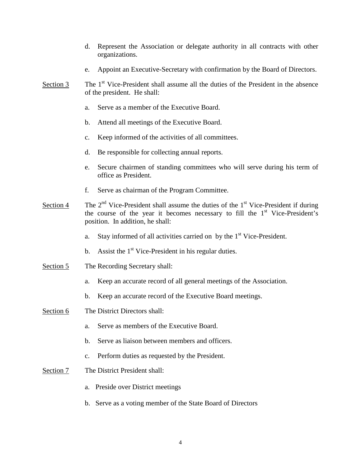- d. Represent the Association or delegate authority in all contracts with other organizations.
- e. Appoint an Executive-Secretary with confirmation by the Board of Directors.
- Section 3 The  $1<sup>st</sup>$  Vice-President shall assume all the duties of the President in the absence of the president. He shall:
	- a. Serve as a member of the Executive Board.
	- b. Attend all meetings of the Executive Board.
	- c. Keep informed of the activities of all committees.
	- d. Be responsible for collecting annual reports.
	- e. Secure chairmen of standing committees who will serve during his term of office as President.
	- f. Serve as chairman of the Program Committee.
- Section 4 The  $2<sup>nd</sup>$  Vice-President shall assume the duties of the  $1<sup>st</sup>$  Vice-President if during the course of the year it becomes necessary to fill the  $1<sup>st</sup>$  Vice-President's position. In addition, he shall:
	- a. Stay informed of all activities carried on by the  $1<sup>st</sup>$  Vice-President.
	- b. Assist the  $1<sup>st</sup>$  Vice-President in his regular duties.
- Section 5 The Recording Secretary shall:
	- a. Keep an accurate record of all general meetings of the Association.
	- b. Keep an accurate record of the Executive Board meetings.
- Section 6 The District Directors shall:
	- a. Serve as members of the Executive Board.
	- b. Serve as liaison between members and officers.
	- c. Perform duties as requested by the President.
- Section 7 The District President shall:
	- a. Preside over District meetings
	- b. Serve as a voting member of the State Board of Directors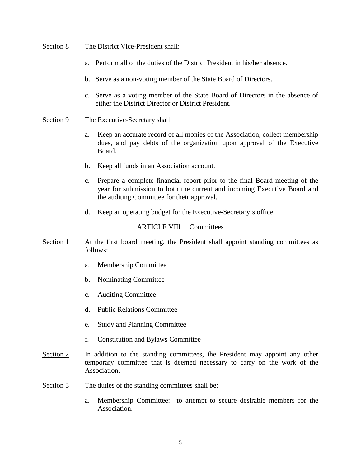## Section 8 The District Vice-President shall:

- a. Perform all of the duties of the District President in his/her absence.
- b. Serve as a non-voting member of the State Board of Directors.
- c. Serve as a voting member of the State Board of Directors in the absence of either the District Director or District President.
- Section 9 The Executive-Secretary shall:
	- a. Keep an accurate record of all monies of the Association, collect membership dues, and pay debts of the organization upon approval of the Executive Board.
	- b. Keep all funds in an Association account.
	- c. Prepare a complete financial report prior to the final Board meeting of the year for submission to both the current and incoming Executive Board and the auditing Committee for their approval.
	- d. Keep an operating budget for the Executive-Secretary's office.

# ARTICLE VIII Committees

- Section 1 At the first board meeting, the President shall appoint standing committees as follows:
	- a. Membership Committee
	- b. Nominating Committee
	- c. Auditing Committee
	- d. Public Relations Committee
	- e. Study and Planning Committee
	- f. Constitution and Bylaws Committee
- Section 2 In addition to the standing committees, the President may appoint any other temporary committee that is deemed necessary to carry on the work of the Association.
- Section 3 The duties of the standing committees shall be:
	- a. Membership Committee: to attempt to secure desirable members for the Association.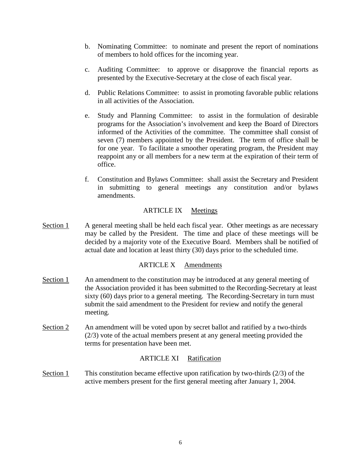- b. Nominating Committee: to nominate and present the report of nominations of members to hold offices for the incoming year.
- c. Auditing Committee: to approve or disapprove the financial reports as presented by the Executive-Secretary at the close of each fiscal year.
- d. Public Relations Committee: to assist in promoting favorable public relations in all activities of the Association.
- e. Study and Planning Committee: to assist in the formulation of desirable programs for the Association's involvement and keep the Board of Directors informed of the Activities of the committee. The committee shall consist of seven (7) members appointed by the President. The term of office shall be for one year. To facilitate a smoother operating program, the President may reappoint any or all members for a new term at the expiration of their term of office.
- f. Constitution and Bylaws Committee: shall assist the Secretary and President in submitting to general meetings any constitution and/or bylaws amendments.

# ARTICLE IX Meetings

Section 1 A general meeting shall be held each fiscal year. Other meetings as are necessary may be called by the President. The time and place of these meetings will be decided by a majority vote of the Executive Board. Members shall be notified of actual date and location at least thirty (30) days prior to the scheduled time.

# ARTICLE X Amendments

- Section 1 An amendment to the constitution may be introduced at any general meeting of the Association provided it has been submitted to the Recording-Secretary at least sixty (60) days prior to a general meeting. The Recording-Secretary in turn must submit the said amendment to the President for review and notify the general meeting.
- Section 2 An amendment will be voted upon by secret ballot and ratified by a two-thirds (2/3) vote of the actual members present at any general meeting provided the terms for presentation have been met.

# ARTICLE XI Ratification

Section 1 This constitution became effective upon ratification by two-thirds (2/3) of the active members present for the first general meeting after January 1, 2004.